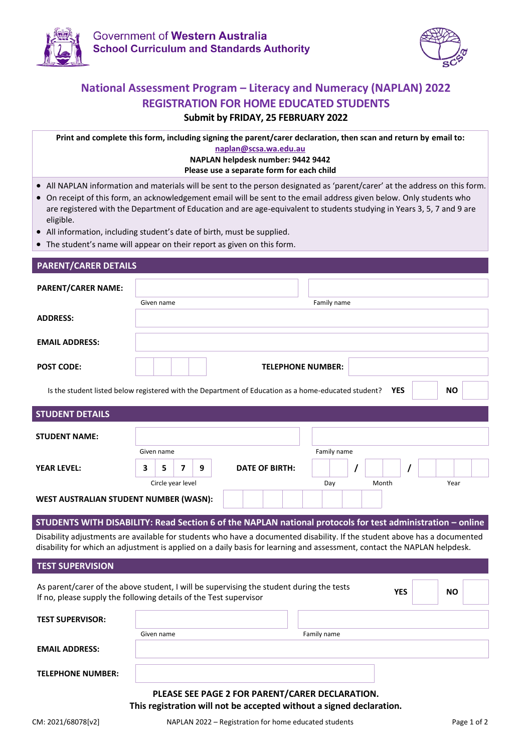



### **National Assessment Program – Literacy and Numeracy (NAPLAN) 2022 REGISTRATION FOR HOME EDUCATED STUDENTS**

#### **Submit by FRIDAY, 25 FEBRUARY 2022**

**Print and complete this form, including signing the parent/carer declaration, then scan and return by email to: [naplan@scsa.wa.edu.au](mailto:naplan@scsa.wa.edu.au) NAPLAN helpdesk number: 9442 9442 Please use a separate form for each child**

- All NAPLAN information and materials will be sent to the person designated as 'parent/carer' at the address on this form.
- On receipt of this form, an acknowledgement email will be sent to the email address given below. Only students who are registered with the Department of Education and are age-equivalent to students studying in Years 3, 5, 7 and 9 are eligible.
- All information, including student's date of birth, must be supplied.
- The student's name will appear on their report as given on this form.

| <b>PARENT/CARER DETAILS</b>                                                                                                                                                                                                                           |            |                   |   |                       |                          |            |           |
|-------------------------------------------------------------------------------------------------------------------------------------------------------------------------------------------------------------------------------------------------------|------------|-------------------|---|-----------------------|--------------------------|------------|-----------|
| <b>PARENT/CARER NAME:</b>                                                                                                                                                                                                                             | Given name |                   |   |                       | Family name              |            |           |
| <b>ADDRESS:</b>                                                                                                                                                                                                                                       |            |                   |   |                       |                          |            |           |
| <b>EMAIL ADDRESS:</b>                                                                                                                                                                                                                                 |            |                   |   |                       |                          |            |           |
| <b>POST CODE:</b>                                                                                                                                                                                                                                     |            |                   |   |                       | <b>TELEPHONE NUMBER:</b> |            |           |
| Is the student listed below registered with the Department of Education as a home-educated student?                                                                                                                                                   |            |                   |   |                       |                          | <b>YES</b> | <b>NO</b> |
| <b>STUDENT DETAILS</b>                                                                                                                                                                                                                                |            |                   |   |                       |                          |            |           |
| <b>STUDENT NAME:</b>                                                                                                                                                                                                                                  |            |                   |   |                       |                          |            |           |
|                                                                                                                                                                                                                                                       | Given name |                   |   |                       | Family name              |            |           |
| <b>YEAR LEVEL:</b>                                                                                                                                                                                                                                    | 3<br>5     | 7                 | 9 | <b>DATE OF BIRTH:</b> |                          |            |           |
|                                                                                                                                                                                                                                                       |            | Circle year level |   |                       | Day                      | Month      | Year      |
| WEST AUSTRALIAN STUDENT NUMBER (WASN):                                                                                                                                                                                                                |            |                   |   |                       |                          |            |           |
| STUDENTS WITH DISABILITY: Read Section 6 of the NAPLAN national protocols for test administration - online                                                                                                                                            |            |                   |   |                       |                          |            |           |
| Disability adjustments are available for students who have a documented disability. If the student above has a documented<br>disability for which an adjustment is applied on a daily basis for learning and assessment, contact the NAPLAN helpdesk. |            |                   |   |                       |                          |            |           |

| <b>TEST SUPERVISION</b>                                                                                                                                       |            |                                                 |  |  |  |
|---------------------------------------------------------------------------------------------------------------------------------------------------------------|------------|-------------------------------------------------|--|--|--|
| As parent/carer of the above student, I will be supervising the student during the tests<br>If no, please supply the following details of the Test supervisor | <b>NO</b>  |                                                 |  |  |  |
| <b>TEST SUPERVISOR:</b>                                                                                                                                       |            |                                                 |  |  |  |
|                                                                                                                                                               | Given name | Family name                                     |  |  |  |
| <b>EMAIL ADDRESS:</b>                                                                                                                                         |            |                                                 |  |  |  |
| <b>TELEPHONE NUMBER:</b>                                                                                                                                      |            |                                                 |  |  |  |
|                                                                                                                                                               |            | PLEASE SEE PAGE 2 FOR PARENT/CARER DECLARATION. |  |  |  |

## **This registration will not be accepted without a signed declaration.**